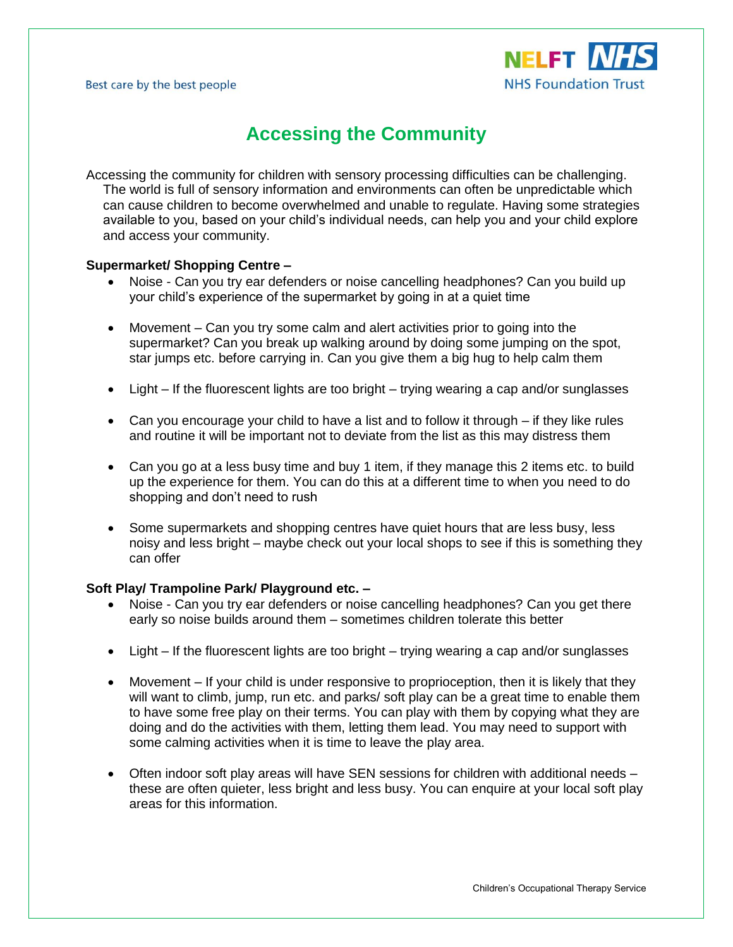

# **Accessing the Community**

Accessing the community for children with sensory processing difficulties can be challenging. The world is full of sensory information and environments can often be unpredictable which can cause children to become overwhelmed and unable to regulate. Having some strategies available to you, based on your child's individual needs, can help you and your child explore and access your community.

## **Supermarket/ Shopping Centre –**

- Noise Can you try ear defenders or noise cancelling headphones? Can you build up your child's experience of the supermarket by going in at a quiet time
- Movement Can you try some calm and alert activities prior to going into the supermarket? Can you break up walking around by doing some jumping on the spot, star jumps etc. before carrying in. Can you give them a big hug to help calm them
- Light If the fluorescent lights are too bright trying wearing a cap and/or sunglasses
- Can you encourage your child to have a list and to follow it through if they like rules and routine it will be important not to deviate from the list as this may distress them
- Can you go at a less busy time and buy 1 item, if they manage this 2 items etc. to build up the experience for them. You can do this at a different time to when you need to do shopping and don't need to rush
- Some supermarkets and shopping centres have quiet hours that are less busy, less noisy and less bright – maybe check out your local shops to see if this is something they can offer

#### **Soft Play/ Trampoline Park/ Playground etc. –**

- Noise Can you try ear defenders or noise cancelling headphones? Can you get there early so noise builds around them – sometimes children tolerate this better
- Light If the fluorescent lights are too bright trying wearing a cap and/or sunglasses
- Movement If your child is under responsive to proprioception, then it is likely that they will want to climb, jump, run etc. and parks/ soft play can be a great time to enable them to have some free play on their terms. You can play with them by copying what they are doing and do the activities with them, letting them lead. You may need to support with some calming activities when it is time to leave the play area.
- Often indoor soft play areas will have SEN sessions for children with additional needs these are often quieter, less bright and less busy. You can enquire at your local soft play areas for this information.